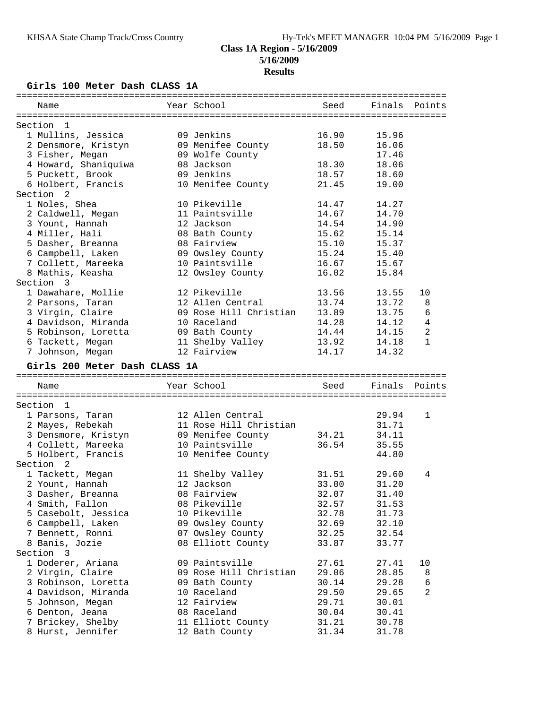# **Class 1A Region - 5/16/2009 5/16/2009**

## **Results**

## **Girls 100 Meter Dash CLASS 1A**

| Name                                   | Year School                         | Seed           | Finals         | Points         |
|----------------------------------------|-------------------------------------|----------------|----------------|----------------|
|                                        |                                     |                |                |                |
| Section<br>-1                          |                                     |                |                |                |
| 1 Mullins, Jessica                     | 09 Jenkins                          | 16.90          | 15.96          |                |
| 2 Densmore, Kristyn                    | 09 Menifee County                   | 18.50          | 16.06          |                |
| 3 Fisher, Megan                        | 09 Wolfe County                     |                | 17.46          |                |
| 4 Howard, Shaniquiwa                   | 08 Jackson                          | 18.30          | 18.06          |                |
| 5 Puckett, Brook                       | 09 Jenkins                          | 18.57          | 18.60          |                |
| 6 Holbert, Francis                     | 10 Menifee County                   | 21.45          | 19.00          |                |
| Section <sub>2</sub>                   |                                     |                |                |                |
| 1 Noles, Shea                          | 10 Pikeville                        | 14.47          | 14.27          |                |
| 2 Caldwell, Megan                      | 11 Paintsville                      | 14.67          | 14.70          |                |
| 3 Yount, Hannah                        | 12 Jackson                          | 14.54          | 14.90          |                |
| 4 Miller, Hali                         | 08 Bath County                      | 15.62          | 15.14          |                |
|                                        |                                     |                |                |                |
| 5 Dasher, Breanna                      | 08 Fairview                         | 15.10          | 15.37          |                |
| 6 Campbell, Laken                      | 09 Owsley County                    | 15.24          | 15.40          |                |
| 7 Collett, Mareeka                     | 10 Paintsville                      | 16.67          | 15.67          |                |
| 8 Mathis, Keasha                       | 12 Owsley County                    | 16.02          | 15.84          |                |
| Section<br>3                           |                                     |                |                |                |
| 1 Dawahare, Mollie                     | 12 Pikeville                        | 13.56          | 13.55          | 10             |
| 2 Parsons, Taran                       | 12 Allen Central                    | 13.74          | 13.72          | 8              |
| 3 Virgin, Claire                       | 09 Rose Hill Christian              | 13.89          | 13.75          | 6              |
| 4 Davidson, Miranda                    | 10 Raceland                         | 14.28          | 14.12          | $\overline{4}$ |
| 5 Robinson, Loretta                    | 09 Bath County                      | 14.44          | 14.15          | 2              |
|                                        |                                     | 13.92          | 14.18          | $\mathbf{1}$   |
| 6 Tackett, Megan                       | 11 Shelby Valley                    |                |                |                |
| 7 Johnson, Megan                       | 12 Fairview                         | 14.17          | 14.32          |                |
| Girls 200 Meter Dash CLASS 1A          |                                     |                |                |                |
| Name                                   | Year School                         | Seed           | Finals         | Points         |
|                                        |                                     |                |                |                |
| Section<br>-1                          |                                     |                |                |                |
| 1 Parsons, Taran                       | 12 Allen Central                    |                | 29.94          | $\mathbf{1}$   |
| 2 Mayes, Rebekah                       | 11 Rose Hill Christian              |                | 31.71          |                |
| 3 Densmore, Kristyn                    | 09 Menifee County                   | 34.21          | 34.11          |                |
| 4 Collett, Mareeka                     | 10 Paintsville                      | 36.54          | 35.55          |                |
|                                        |                                     |                |                |                |
| 5 Holbert, Francis                     | 10 Menifee County                   |                | 44.80          |                |
| Section<br>2                           |                                     |                |                |                |
| 1 Tackett, Megan                       | 11 Shelby Valley                    | 31.51          | 29.60          | 4              |
| 2 Yount, Hannah                        | 12 Jackson                          | 33.00          | 31.20          |                |
| 3 Dasher, Breanna                      | 08 Fairview                         | 32.07          | 31.40          |                |
| 4 Smith, Fallon                        | 08 Pikeville                        | 32.57          | 31.53          |                |
| 5 Casebolt, Jessica                    | 10 Pikeville                        | 32.78          | 31.73          |                |
| 6 Campbell, Laken                      | 09 Owsley County                    | 32.69          | 32.10          |                |
| 7 Bennett, Ronni                       | 07 Owsley County                    | 32.25          | 32.54          |                |
| 8 Banis, Jozie                         | 08 Elliott County                   | 33.87          | 33.77          |                |
| Section<br>3                           |                                     |                |                |                |
|                                        |                                     |                |                |                |
| 1 Doderer, Ariana                      | 09 Paintsville                      | 27.61          | 27.41          | 10             |
| 2 Virgin, Claire                       |                                     |                |                |                |
| 3 Robinson, Loretta                    | 09 Rose Hill Christian              | 29.06          | 28.85          | 8              |
|                                        | 09 Bath County                      | 30.14          | 29.28          | 6              |
| 4 Davidson, Miranda                    | 10 Raceland                         | 29.50          | 29.65          | 2              |
| 5 Johnson, Megan                       | 12 Fairview                         | 29.71          | 30.01          |                |
| 6 Denton, Jeana                        | 08 Raceland                         | 30.04          | 30.41          |                |
|                                        |                                     |                |                |                |
| 7 Brickey, Shelby<br>8 Hurst, Jennifer | 11 Elliott County<br>12 Bath County | 31.21<br>31.34 | 30.78<br>31.78 |                |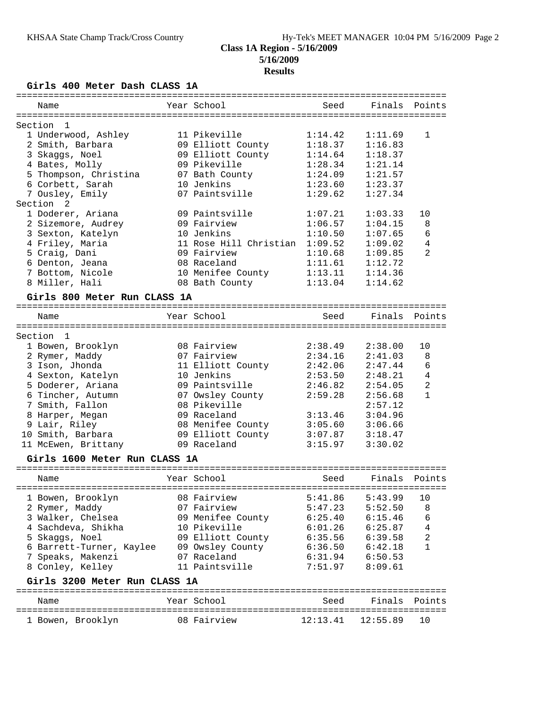# **Girls 400 Meter Dash CLASS 1A**

| ===========                   |                        |          |          |                |
|-------------------------------|------------------------|----------|----------|----------------|
| Name                          | Year School            | Seed     | Finals   | Points         |
|                               |                        |          |          |                |
| Section<br>1                  |                        |          |          |                |
| 1 Underwood, Ashley           | 11 Pikeville           | 1:14.42  | 1:11.69  | 1              |
| 2 Smith, Barbara              | 09 Elliott County      | 1:18.37  | 1:16.83  |                |
| 3 Skaggs, Noel                | 09 Elliott County      | 1:14.64  | 1:18.37  |                |
| 4 Bates, Molly                | 09 Pikeville           | 1:28.34  | 1:21.14  |                |
| 5 Thompson, Christina         | 07 Bath County         | 1:24.09  | 1:21.57  |                |
| 6 Corbett, Sarah              | 10 Jenkins             | 1:23.60  | 1:23.37  |                |
| 7 Ousley, Emily               | 07 Paintsville         | 1:29.62  | 1:27.34  |                |
| Section<br>2                  |                        |          |          |                |
| 1 Doderer, Ariana             | 09 Paintsville         | 1:07.21  | 1:03.33  | 10             |
| 2 Sizemore, Audrey            | 09 Fairview            | 1:06.57  | 1:04.15  | 8              |
| 3 Sexton, Katelyn             | 10 Jenkins             | 1:10.50  | 1:07.65  | 6              |
| 4 Friley, Maria               | 11 Rose Hill Christian | 1:09.52  | 1:09.02  | 4              |
| 5 Craig, Dani                 | 09 Fairview            | 1:10.68  | 1:09.85  | 2              |
| 6 Denton, Jeana               | 08 Raceland            | 1:11.61  | 1:12.72  |                |
| 7 Bottom, Nicole              | 10 Menifee County      | 1:13.11  | 1:14.36  |                |
| 8 Miller, Hali                | 08 Bath County         | 1:13.04  | 1:14.62  |                |
| Girls 800 Meter Run CLASS 1A  |                        |          |          |                |
|                               |                        |          |          |                |
| Name                          | Year School            | Seed     | Finals   | Points         |
|                               |                        |          |          |                |
| Section<br>$\overline{1}$     |                        |          |          |                |
| 1 Bowen, Brooklyn             | 08 Fairview            | 2:38.49  | 2:38.00  | 10             |
| 2 Rymer, Maddy                | 07 Fairview            | 2:34.16  | 2:41.03  | 8              |
| 3 Ison, Jhonda                | 11 Elliott County      | 2:42.06  | 2:47.44  | 6              |
| 4 Sexton, Katelyn             | 10 Jenkins             | 2:53.50  | 2:48.21  | $\overline{4}$ |
| 5 Doderer, Ariana             | 09 Paintsville         | 2:46.82  | 2:54.05  | 2              |
| 6 Tincher, Autumn             | 07 Owsley County       | 2:59.28  | 2:56.68  | $\mathbf{1}$   |
| 7 Smith, Fallon               | 08 Pikeville           |          | 2:57.12  |                |
| 8 Harper, Megan               | 09 Raceland            | 3:13.46  | 3:04.96  |                |
| 9 Lair, Riley                 | 08 Menifee County      | 3:05.60  | 3:06.66  |                |
| 10 Smith, Barbara             | 09 Elliott County      | 3:07.87  | 3:18.47  |                |
| 11 McEwen, Brittany           | 09 Raceland            | 3:15.97  | 3:30.02  |                |
| Girls 1600 Meter Run CLASS 1A |                        |          |          |                |
|                               |                        |          |          |                |
| Name                          | Year School            | Seed     | Finals   | Points         |
|                               |                        |          |          |                |
| 1 Bowen, Brooklyn             | 08 Fairview            | 5:41.86  | 5:43.99  | 10             |
| 2 Rymer, Maddy                | 07 Fairview            | 5:47.23  | 5:52.50  | 8              |
| 3 Walker, Chelsea             | 09 Menifee County      | 6:25.40  | 6:15.46  | 6              |
| 4 Sachdeva, Shikha            | 10 Pikeville           | 6:01.26  | 6:25.87  | 4              |
| 5 Skaggs, Noel                | 09 Elliott County      | 6:35.56  | 6:39.58  | 2              |
| 6 Barrett-Turner, Kaylee      | 09 Owsley County       | 6:36.50  | 6:42.18  | $\mathbf{1}$   |
| 7 Speaks, Makenzi             | 07 Raceland            | 6:31.94  | 6:50.53  |                |
| 8 Conley, Kelley              | 11 Paintsville         | 7:51.97  | 8:09.61  |                |
|                               |                        |          |          |                |
| Girls 3200 Meter Run CLASS 1A |                        |          |          |                |
| Name                          | Year School            | Seed     | Finals   | Points         |
|                               |                        |          |          |                |
| 1 Bowen, Brooklyn             | 08 Fairview            | 12:13.41 | 12:55.89 | 10             |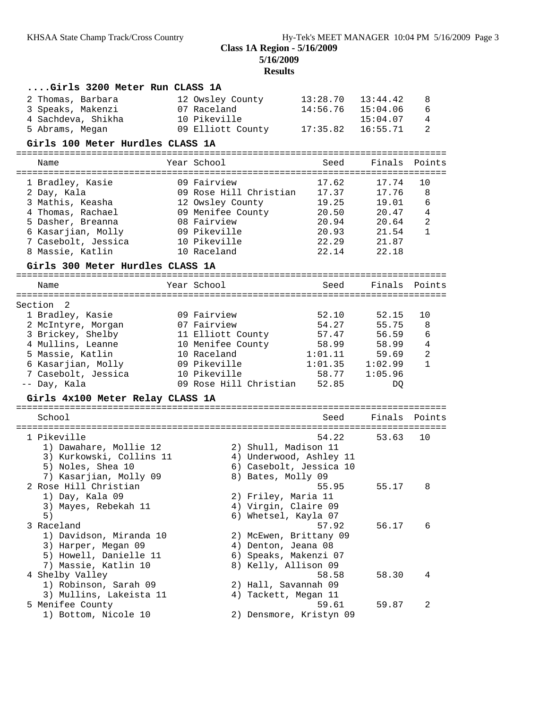**5/16/2009**

| Girls 3200 Meter Run CLASS 1A           |                              |                                             |                               |                |                |
|-----------------------------------------|------------------------------|---------------------------------------------|-------------------------------|----------------|----------------|
| 2 Thomas, Barbara                       | 12 Owsley County             |                                             | 13:28.70                      | 13:44.42       | 8              |
| 3 Speaks, Makenzi                       | 07 Raceland                  |                                             | 14:56.76                      | 15:04.06       | 6              |
| 4 Sachdeva, Shikha                      | 10 Pikeville                 |                                             |                               | 15:04.07       | 4              |
| 5 Abrams, Megan                         | 09 Elliott County            |                                             | 17:35.82                      | 16:55.71       | $\overline{a}$ |
| Girls 100 Meter Hurdles CLASS 1A        |                              |                                             |                               |                |                |
| Name                                    | Year School                  |                                             | ---------------------<br>Seed | Finals         | Points         |
|                                         |                              |                                             |                               |                |                |
| 1 Bradley, Kasie                        | 09 Fairview                  |                                             | 17.62                         | 17.74          | 10             |
| 2 Day, Kala                             | 09 Rose Hill Christian       |                                             | 17.37                         | 17.76          | 8              |
| 3 Mathis, Keasha                        | 12 Owsley County             |                                             | 19.25                         | 19.01          | 6              |
| 4 Thomas, Rachael                       | 09 Menifee County            |                                             | 20.50                         | 20.47          | $\,4$          |
| 5 Dasher, Breanna                       | 08 Fairview                  |                                             | 20.94                         | 20.64          | $\sqrt{2}$     |
| 6 Kasarjian, Molly                      | 09 Pikeville<br>10 Pikeville |                                             | 20.93<br>22.29                | 21.54<br>21.87 | 1              |
| 7 Casebolt, Jessica<br>8 Massie, Katlin | 10 Raceland                  |                                             | 22.14                         | 22.18          |                |
| Girls 300 Meter Hurdles CLASS 1A        |                              |                                             |                               |                |                |
|                                         |                              |                                             |                               |                |                |
| Name                                    | Year School                  |                                             | Seed                          | Finals         | Points         |
| Section<br>2                            |                              |                                             |                               |                |                |
| 1 Bradley, Kasie                        | 09 Fairview                  |                                             | 52.10                         | 52.15          | 10             |
| 2 McIntyre, Morgan                      | 07 Fairview                  |                                             | 54.27                         | 55.75          | 8              |
| 3 Brickey, Shelby                       | 11 Elliott County            |                                             | 57.47                         | 56.59          | 6              |
| 4 Mullins, Leanne                       | 10 Menifee County            |                                             | 58.99                         | 58.99          | $\overline{4}$ |
| 5 Massie, Katlin                        | 10 Raceland                  |                                             | 1:01.11                       | 59.69          | $\mathbf{2}$   |
| 6 Kasarjian, Molly                      | 09 Pikeville                 |                                             | 1:01.35                       | 1:02.99        | $\mathbf{1}$   |
| 7 Casebolt, Jessica                     | 10 Pikeville                 |                                             | 58.77                         | 1:05.96        |                |
| -- Day, Kala                            | 09 Rose Hill Christian       |                                             | 52.85                         | DQ             |                |
| Girls 4x100 Meter Relay CLASS 1A        |                              |                                             |                               |                |                |
| School                                  |                              |                                             | Seed                          | Finals         | Points         |
|                                         |                              |                                             | =======================       |                |                |
| 1 Pikeville                             |                              |                                             | 54.22                         | 53.63          | 10             |
| 1) Dawahare, Mollie 12                  |                              | 2) Shull, Madison 11                        |                               |                |                |
| 3) Kurkowski, Collins 11                |                              |                                             | 4) Underwood, Ashley 11       |                |                |
| 5) Noles, Shea 10                       |                              |                                             | 6) Casebolt, Jessica 10       |                |                |
| 7) Kasarjian, Molly 09                  |                              | 8) Bates, Molly 09                          |                               |                |                |
| 2 Rose Hill Christian                   |                              |                                             | 55.95                         | 55.17          | 8              |
| 1) Day, Kala 09<br>3) Mayes, Rebekah 11 |                              | 2) Friley, Maria 11<br>4) Virgin, Claire 09 |                               |                |                |
| 5)                                      |                              | 6) Whetsel, Kayla 07                        |                               |                |                |
| 3 Raceland                              |                              |                                             | 57.92                         | 56.17          | 6              |
| 1) Davidson, Miranda 10                 |                              | 2) McEwen, Brittany 09                      |                               |                |                |
| 3) Harper, Megan 09                     |                              | 4) Denton, Jeana 08                         |                               |                |                |
| 5) Howell, Danielle 11                  |                              | 6) Speaks, Makenzi 07                       |                               |                |                |
| 7) Massie, Katlin 10                    |                              | 8) Kelly, Allison 09                        |                               |                |                |
| 4 Shelby Valley                         |                              |                                             | 58.58                         | 58.30          | 4              |
| 1) Robinson, Sarah 09                   |                              | 2) Hall, Savannah 09                        |                               |                |                |
| 3) Mullins, Lakeista 11                 |                              | 4) Tackett, Megan 11                        |                               |                |                |
| 5 Menifee County                        |                              |                                             | 59.61                         | 59.87          | 2              |
| 1) Bottom, Nicole 10                    |                              |                                             | 2) Densmore, Kristyn 09       |                |                |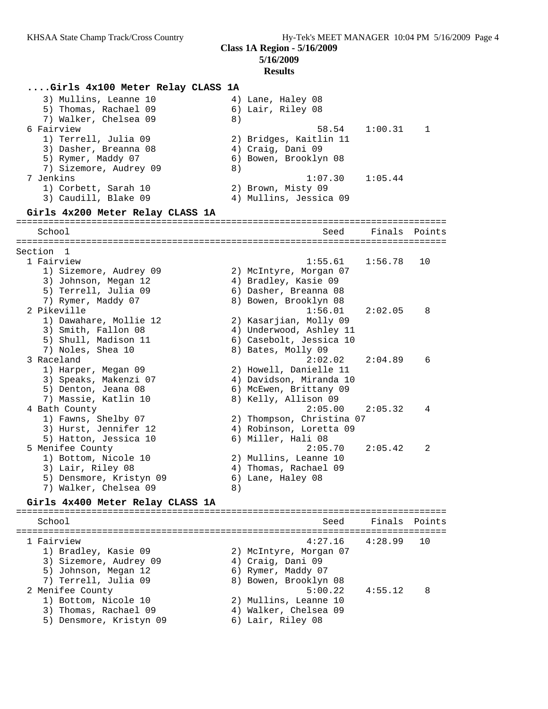**Class 1A Region - 5/16/2009 5/16/2009**

#### **Results**

**....Girls 4x100 Meter Relay CLASS 1A** 3) Mullins, Leanne 10  $\hskip1cm \hskip1cm 4$ ) Lane, Haley 08 5) Thomas, Rachael 09 6) Lair, Riley 08 7) Walker, Chelsea 09 8) 6 Fairview 58.54 1:00.31 1 1) Terrell, Julia 09 2) Bridges, Kaitlin 11 3) Dasher, Breanna 08 (4) Craig, Dani 09 5) Rymer, Maddy 07 6) Bowen, Brooklyn 08 7) Sizemore, Audrey 09 8) 7 Jenkins 1:07.30 1:05.44 1) Corbett, Sarah 10 2) Brown, Misty 09 3) Caudill, Blake 09 4) Mullins, Jessica 09 **Girls 4x200 Meter Relay CLASS 1A** ================================================================================ School School School Seed Finals Points ================================================================================ Section 1 1 Fairview 1:55.61 1:56.78 10 1) Sizemore, Audrey 09 2) McIntyre, Morgan 07 3) Johnson, Megan 12 4) Bradley, Kasie 09 5) Terrell, Julia 09 6) Dasher, Breanna 08 7) Rymer, Maddy 07 8) Bowen, Brooklyn 08 2 Pikeville 1:56.01 2:02.05 8 1) Dawahare, Mollie 12 2) Kasarjian, Molly 09 3) Smith, Fallon 08 4) Underwood, Ashley 11 5) Shull, Madison 11 6) Casebolt, Jessica 10 7) Noles, Shea 10 8) Bates, Molly 09 3 Raceland 2:02.02 2:04.89 6 1) Harper, Megan 09 2) Howell, Danielle 11 3) Speaks, Makenzi 07 4) Davidson, Miranda 10 5) Denton, Jeana 08 6) McEwen, Brittany 09 7) Massie, Katlin 10  $\hphantom{\text{2.65}$  8) Kelly, Allison 09 4 Bath County 2:05.00 2:05.32 4 1) Fawns, Shelby 07 2) Thompson, Christina 07 3) Hurst, Jennifer 12 4) Robinson, Loretta 09 5) Hatton, Jessica 10 (6) Miller, Hali 08 5 Menifee County 2:05.70 2:05.42 2 1) Bottom, Nicole 10 2) Mullins, Leanne 10 3) Lair, Riley 08 4) Thomas, Rachael 09 5) Densmore, Kristyn 09 6) Lane, Haley 08 7) Walker, Chelsea 09 8) **Girls 4x400 Meter Relay CLASS 1A** ================================================================================ School Seed Finals Points ================================================================================ 1 Fairview 4:27.16 4:28.99 10 1) Bradley, Kasie 09 2) McIntyre, Morgan 07 3) Sizemore, Audrey 09  $\hskip1cm$  4) Craig, Dani 09 5) Johnson, Megan 12 6) Rymer, Maddy 07 7) Terrell, Julia 09 8) Bowen, Brooklyn 08 2 Menifee County 5:00.22 4:55.12 8 1) Bottom, Nicole 10 2) Mullins, Leanne 10 3) Thomas, Rachael 09 4) Walker, Chelsea 09 5) Densmore, Kristyn 09  $\qquad \qquad$  6) Lair, Riley 08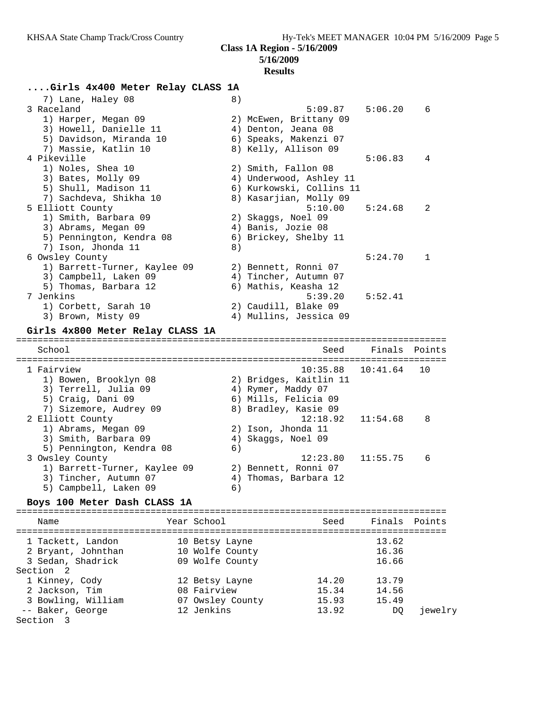## **5/16/2009 Results**

# **....Girls 4x400 Meter Relay CLASS 1A**

| 7) Lane, Haley 08                | 8) |                          |          |              |
|----------------------------------|----|--------------------------|----------|--------------|
| 3 Raceland                       |    | 5:09.87                  | 5:06.20  | 6            |
| 1) Harper, Megan 09              |    | 2) McEwen, Brittany 09   |          |              |
| 3) Howell, Danielle 11           |    | 4) Denton, Jeana 08      |          |              |
| 5) Davidson, Miranda 10          |    | 6) Speaks, Makenzi 07    |          |              |
| 7) Massie, Katlin 10             |    | 8) Kelly, Allison 09     |          |              |
| 4 Pikeville                      |    |                          | 5:06.83  | 4            |
| 1) Noles, Shea 10                |    | 2) Smith, Fallon 08      |          |              |
| 3) Bates, Molly 09               |    | 4) Underwood, Ashley 11  |          |              |
| 5) Shull, Madison 11             |    | 6) Kurkowski, Collins 11 |          |              |
| 7) Sachdeva, Shikha 10           |    | 8) Kasarjian, Molly 09   |          |              |
| 5 Elliott County                 |    | 5:10.00                  | 5:24.68  | 2            |
| 1) Smith, Barbara 09             |    | 2) Skaggs, Noel 09       |          |              |
| 3) Abrams, Megan 09              |    | 4) Banis, Jozie 08       |          |              |
| 5) Pennington, Kendra 08         |    | 6) Brickey, Shelby 11    |          |              |
| 7) Ison, Jhonda 11               | 8) |                          |          |              |
| 6 Owsley County                  |    |                          | 5:24.70  | $\mathbf{1}$ |
| 1) Barrett-Turner, Kaylee 09     |    | 2) Bennett, Ronni 07     |          |              |
| 3) Campbell, Laken 09            |    | 4) Tincher, Autumn 07    |          |              |
| 5) Thomas, Barbara 12            |    | 6) Mathis, Keasha 12     |          |              |
| 7 Jenkins                        |    | 5:39.20                  | 5:52.41  |              |
| 1) Corbett, Sarah 10             |    | 2) Caudill, Blake 09     |          |              |
| 3) Brown, Misty 09               |    | 4) Mullins, Jessica 09   |          |              |
| Girls 4x800 Meter Relay CLASS 1A |    |                          |          |              |
| School                           |    | Seed                     | Finals   | Points       |
|                                  |    |                          |          |              |
| 1 Fairview                       |    | 10:35.88                 | 10:41.64 | 10           |
| 1) Bowen, Brooklyn 08            |    | 2) Bridges, Kaitlin 11   |          |              |
| 3) Terrell, Julia 09             |    | 4) Rymer, Maddy 07       |          |              |
| 5) Craig, Dani 09                |    | 6) Mills, Felicia 09     |          |              |
| 7) Sizemore, Audrey 09           |    | 8) Bradley, Kasie 09     |          |              |
| 2 Elliott County                 |    | 12:18.92                 | 11:54.68 | 8            |
| 1) Abrams, Megan 09              |    | 2) Ison, Jhonda 11       |          |              |
| 3) Smith, Barbara 09             |    | 4) Skaggs, Noel 09       |          |              |
| 5) Pennington, Kendra 08         | 6) |                          |          |              |
| 3 Owsley County                  |    | 12:23.80                 | 11:55.75 | 6            |
| 1) Barrett-Turner, Kaylee 09     |    | 2) Bennett, Ronni 07     |          |              |
| 3) Tincher, Autumn 07            |    | 4) Thomas, Barbara 12    |          |              |
| 5) Campbell, Laken 09            | 6) |                          |          |              |
| Boys 100 Meter Dash CLASS 1A     |    |                          |          |              |
|                                  |    |                          |          |              |

| Name                 | Year School      | Seed  | Finals Points |         |
|----------------------|------------------|-------|---------------|---------|
| 1 Tackett, Landon    | 10 Betsy Layne   |       | 13.62         |         |
|                      |                  |       |               |         |
| 2 Bryant, Johnthan   | 10 Wolfe County  |       | 16.36         |         |
| 3 Sedan, Shadrick    | 09 Wolfe County  |       | 16.66         |         |
| Section <sub>2</sub> |                  |       |               |         |
| 1 Kinney, Cody       | 12 Betsy Layne   | 14.20 | 13.79         |         |
| 2 Jackson, Tim       | 08 Fairview      | 15.34 | 14.56         |         |
| 3 Bowling, William   | 07 Owsley County | 15.93 | 15.49         |         |
| -- Baker, George     | 12 Jenkins       | 13.92 | DO            | jewelry |
| Section 3            |                  |       |               |         |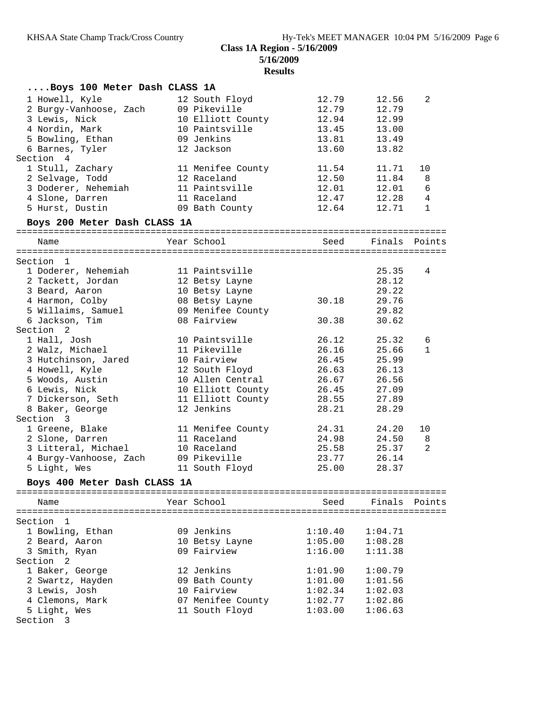**5/16/2009**

| Boys 100 Meter Dash CLASS 1A                                                                                                                                                                  |                                                                                                                                                         |                                                                                      |                                                                                      |                                |
|-----------------------------------------------------------------------------------------------------------------------------------------------------------------------------------------------|---------------------------------------------------------------------------------------------------------------------------------------------------------|--------------------------------------------------------------------------------------|--------------------------------------------------------------------------------------|--------------------------------|
| 1 Howell, Kyle<br>2 Burgy-Vanhoose, Zach<br>3 Lewis, Nick<br>4 Nordin, Mark<br>5 Bowling, Ethan<br>6 Barnes, Tyler<br>Section 4<br>1 Stull, Zachary<br>2 Selvage, Todd<br>3 Doderer, Nehemiah | 12 South Floyd<br>09 Pikeville<br>10 Elliott County<br>10 Paintsville<br>09 Jenkins<br>12 Jackson<br>11 Menifee County<br>12 Raceland<br>11 Paintsville | 12.79<br>12.79<br>12.94<br>13.45<br>13.81<br>13.60<br>11.54<br>12.50<br>12.01        | 12.56<br>12.79<br>12.99<br>13.00<br>13.49<br>13.82<br>11.71<br>11.84<br>12.01        | 2<br>10<br>8<br>6              |
| 4 Slone, Darren                                                                                                                                                                               | 11 Raceland                                                                                                                                             | 12.47                                                                                | 12.28                                                                                | $\overline{4}$<br>$\mathbf{1}$ |
| 5 Hurst, Dustin                                                                                                                                                                               | 09 Bath County                                                                                                                                          | 12.64                                                                                | 12.71                                                                                |                                |
| Boys 200 Meter Dash CLASS 1A                                                                                                                                                                  |                                                                                                                                                         |                                                                                      |                                                                                      |                                |
| Name                                                                                                                                                                                          | Year School                                                                                                                                             | Seed                                                                                 | Finals Points                                                                        |                                |
| Section 1                                                                                                                                                                                     |                                                                                                                                                         |                                                                                      |                                                                                      |                                |
| 1 Doderer, Nehemiah<br>2 Tackett, Jordan<br>3 Beard, Aaron<br>4 Harmon, Colby<br>5 Willaims, Samuel<br>6 Jackson, Tim<br>Section <sub>2</sub>                                                 | 11 Paintsville<br>12 Betsy Layne<br>10 Betsy Layne<br>08 Betsy Layne<br>09 Menifee County<br>08 Fairview                                                | 30.18<br>30.38                                                                       | 25.35<br>28.12<br>29.22<br>29.76<br>29.82<br>30.62                                   | 4                              |
| 1 Hall, Josh                                                                                                                                                                                  | 10 Paintsville                                                                                                                                          | 26.12                                                                                | 25.32                                                                                | 6                              |
| 2 Walz, Michael<br>3 Hutchinson, Jared<br>4 Howell, Kyle<br>5 Woods, Austin<br>6 Lewis, Nick<br>7 Dickerson, Seth<br>8 Baker, George<br>Section 3                                             | 11 Pikeville<br>10 Fairview<br>12 South Floyd<br>10 Allen Central<br>10 Elliott County<br>11 Elliott County<br>12 Jenkins                               | 26.16<br>26.45<br>26.63<br>26.67<br>26.45<br>28.55<br>28.21                          | 25.66<br>25.99<br>26.13<br>26.56<br>27.09<br>27.89<br>28.29                          | $\mathbf{1}$                   |
| 1 Greene, Blake                                                                                                                                                                               | 11 Menifee County                                                                                                                                       | 24.31                                                                                | 24.20                                                                                | 10                             |
| 2 Slone, Darren<br>3 Litteral, Michael<br>4 Burgy-Vanhoose, Zach<br>5 Light, Wes<br>Boys 400 Meter Dash CLASS 1A                                                                              | 11 Raceland<br>10 Raceland<br>09 Pikeville<br>11 South Floyd                                                                                            | 24.98<br>25.58<br>23.77<br>25.00                                                     | 24.50<br>25.37<br>26.14<br>28.37                                                     | 8<br>2                         |
| Name                                                                                                                                                                                          | Year School                                                                                                                                             | Seed                                                                                 | Finals Points                                                                        |                                |
|                                                                                                                                                                                               |                                                                                                                                                         |                                                                                      |                                                                                      |                                |
| Section<br>$\mathbf{1}$<br>1 Bowling, Ethan<br>2 Beard, Aaron<br>3 Smith, Ryan<br>Section 2<br>1 Baker, George<br>2 Swartz, Hayden<br>3 Lewis, Josh<br>4 Clemons, Mark<br>5 Light, Wes        | 09 Jenkins<br>10 Betsy Layne<br>09 Fairview<br>12 Jenkins<br>09 Bath County<br>10 Fairview<br>07 Menifee County<br>11 South Floyd                       | 1:10.40<br>1:05.00<br>1:16.00<br>1:01.90<br>1:01.00<br>1:02.34<br>1:02.77<br>1:03.00 | 1:04.71<br>1:08.28<br>1:11.38<br>1:00.79<br>1:01.56<br>1:02.03<br>1:02.86<br>1:06.63 |                                |
| Section 3                                                                                                                                                                                     |                                                                                                                                                         |                                                                                      |                                                                                      |                                |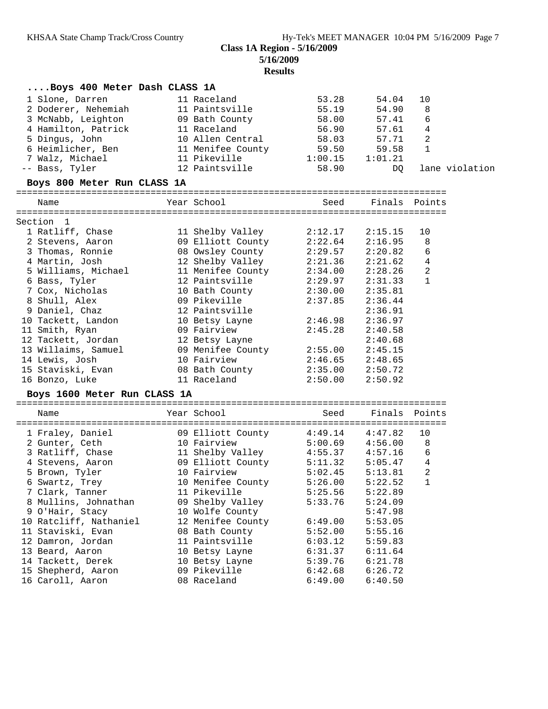# **Class 1A Region - 5/16/2009 5/16/2009**

| Boys 400 Meter Dash CLASS 1A |                           |                     |                     |                |                |
|------------------------------|---------------------------|---------------------|---------------------|----------------|----------------|
| 1 Slone, Darren              | 11 Raceland               | 53.28               | 54.04               | 10             |                |
| 2 Doderer, Nehemiah          | 11 Paintsville            | 55.19               | 54.90               | 8              |                |
| 3 McNabb, Leighton           | 09 Bath County            | 58.00               | 57.41               | 6              |                |
| 4 Hamilton, Patrick          | 11 Raceland               | 56.90               | 57.61               | 4              |                |
| 5 Dingus, John               | 10 Allen Central          | 58.03               | 57.71               | 2              |                |
| 6 Heimlicher, Ben            | 11 Menifee County         | 59.50               | 59.58               | 1              |                |
| 7 Walz, Michael              | 11 Pikeville              | 1:00.15             | 1:01.21             |                |                |
| -- Bass, Tyler               | 12 Paintsville            | 58.90               | DQ                  |                | lane violation |
|                              |                           |                     |                     |                |                |
| Boys 800 Meter Run CLASS 1A  |                           |                     |                     |                |                |
| Name                         | Year School               | Seed                |                     | Finals Points  |                |
| Section 1                    |                           |                     |                     |                |                |
| 1 Ratliff, Chase             | 11 Shelby Valley          | 2:12.17             | 2:15.15             | 10             |                |
| 2 Stevens, Aaron             | 09 Elliott County         | 2:22.64             | 2:16.95             | 8              |                |
| 3 Thomas, Ronnie             | 08 Owsley County          | 2:29.57             | 2:20.82             | 6              |                |
| 4 Martin, Josh               | 12 Shelby Valley 2:21.36  |                     | 2:21.62             | 4              |                |
| 5 Williams, Michael          | 11 Menifee County 2:34.00 |                     | 2:28.26             | 2              |                |
| 6 Bass, Tyler                | 12 Paintsville            | 2:29.97             | 2:31.33             | $\mathbf{1}$   |                |
| 7 Cox, Nicholas              | 10 Bath County            | 2:30.00             | 2:35.81             |                |                |
| 8 Shull, Alex                | 09 Pikeville              | 2:37.85             | 2:36.44             |                |                |
| 9 Daniel, Chaz               | 12 Paintsville            |                     | 2:36.91             |                |                |
| 10 Tackett, Landon           | 10 Betsy Layne            | 2:46.98             | 2:36.97             |                |                |
| 11 Smith, Ryan               | 09 Fairview               | 2:45.28             | 2:40.58             |                |                |
| 12 Tackett, Jordan           | 12 Betsy Layne            |                     | 2:40.68             |                |                |
| 13 Willaims, Samuel          | 09 Menifee County 2:55.00 |                     | 2:45.15             |                |                |
| 14 Lewis, Josh               | 10 Fairview               |                     | 2:48.65             |                |                |
| 15 Staviski, Evan            | 08 Bath County            | 2:46.65<br>2:35.00  | 2:50.72             |                |                |
| 16 Bonzo, Luke               | 11 Raceland               | 2:50.00             | 2:50.92             |                |                |
| Boys 1600 Meter Run CLASS 1A |                           |                     |                     |                |                |
|                              | Year School               |                     |                     | Finals Points  |                |
| Name                         |                           | Seed                |                     |                |                |
| 1 Fraley, Daniel             | 09 Elliott County 4:49.14 |                     | 4:47.82             | 10             |                |
| 2 Gunter, Ceth               | 10 Fairview               |                     | $5:00.69$ $4:56.00$ | 8              |                |
| 3 Ratliff, Chase             | 11 Shelby Valley          | $4:55.37$ $4:57.16$ |                     | 6              |                |
| 4 Stevens, Aaron             | 09 Elliott County         | 5:11.32             | 5:05.47             | $\sqrt{4}$     |                |
| 5 Brown, Tyler               | 10 Fairview               | 5:02.45             | 5:13.81             | $\overline{a}$ |                |
| 6 Swartz, Trey               | 10 Menifee County         | 5:26.00             | 5:22.52             | $\overline{1}$ |                |
| 7 Clark, Tanner              | 11 Pikeville              | 5:25.56             | 5:22.89             |                |                |
| 8 Mullins, Johnathan         | 09 Shelby Valley          | 5:33.76             | 5:24.09             |                |                |
| 9 O'Hair, Stacy              | 10 Wolfe County           |                     | 5:47.98             |                |                |
| 10 Ratcliff, Nathaniel       | 12 Menifee County         | 6:49.00             | 5:53.05             |                |                |
| 11 Staviski, Evan            | 08 Bath County            | 5:52.00             | 5:55.16             |                |                |
| 12 Damron, Jordan            | 11 Paintsville            | 6:03.12             | 5:59.83             |                |                |
| 13 Beard, Aaron              | 10 Betsy Layne            | 6:31.37             | 6:11.64             |                |                |
| 14 Tackett, Derek            | 10 Betsy Layne            | 5:39.76             | 6:21.78             |                |                |
| 15 Shepherd, Aaron           | 09 Pikeville              | 6:42.68             | 6:26.72             |                |                |
| 16 Caroll, Aaron             | 08 Raceland               | 6:49.00             | 6:40.50             |                |                |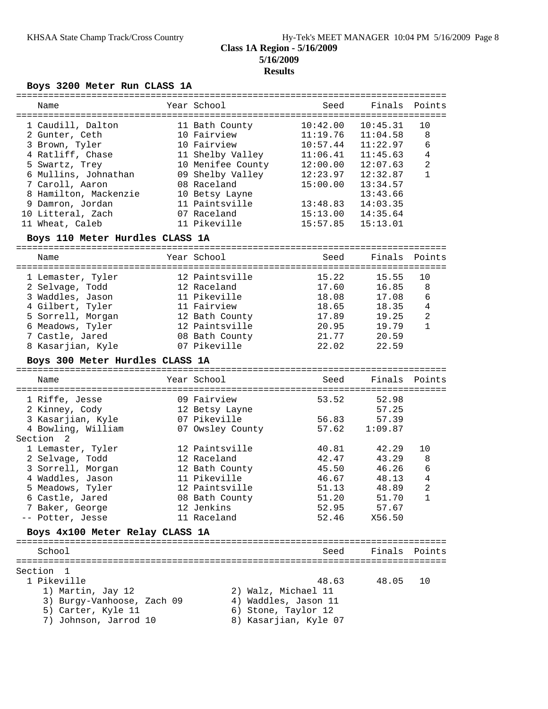#### **5/16/2009 Results**

#### **Boys 3200 Meter Run CLASS 1A**

| Name                  | Year School       | Seed     | Finals   | Points         |
|-----------------------|-------------------|----------|----------|----------------|
| 1 Caudill, Dalton     | 11 Bath County    | 10:42.00 | 10:45.31 | 10             |
| 2 Gunter, Ceth        | 10 Fairview       | 11:19.76 | 11:04.58 | 8              |
| 3 Brown, Tyler        | 10 Fairview       | 10:57.44 | 11:22.97 | 6              |
| 4 Ratliff, Chase      | 11 Shelby Valley  | 11:06.41 | 11:45.63 | 4              |
| 5 Swartz, Trey        | 10 Menifee County | 12:00.00 | 12:07.63 | $\overline{2}$ |
| 6 Mullins, Johnathan  | 09 Shelby Valley  | 12:23.97 | 12:32.87 |                |
| 7 Caroll, Aaron       | 08 Raceland       | 15:00.00 | 13:34.57 |                |
| 8 Hamilton, Mackenzie | 10 Betsy Layne    |          | 13:43.66 |                |
| 9 Damron, Jordan      | 11 Paintsville    | 13:48.83 | 14:03.35 |                |
| 10 Litteral, Zach     | 07 Raceland       | 15:13.00 | 14:35.64 |                |
| 11 Wheat, Caleb       | 11 Pikeville      | 15:57.85 | 15:13.01 |                |

#### **Boys 110 Meter Hurdles CLASS 1A**

================================================================================ Name Year School Seed Finals Points ================================================================================ 1 Lemaster, Tyler 12 Paintsville 15.22 15.55 10 2 Selvage, Todd 12 Raceland 17.60 16.85 8 3 Waddles, Jason 11 Pikeville 18.08 17.08 6 4 Gilbert, Tyler 11 Fairview 18.65 18.35 4 5 Sorrell, Morgan 12 Bath County 17.89 19.25 2 6 Meadows, Tyler 12 Paintsville 20.95 19.79 1 7 Castle, Jared 08 Bath County 21.77 20.59 8 Kasarjian, Kyle 07 Pikeville 22.02 22.59

#### **Boys 300 Meter Hurdles CLASS 1A**

================================================================================ Name Year School Seed Finals Points ================================================================================ 1 Riffe, Jesse 09 Fairview 53.52 52.98 2 Kinney, Cody 12 Betsy Layne 57.25 3 Kasarjian, Kyle 07 Pikeville 56.83 57.39 4 Bowling, William 07 Owsley County 57.62 1:09.87 Section 2 1 Lemaster, Tyler 12 Paintsville 40.81 42.29 10 2 Selvage, Todd 12 Raceland 42.47 43.29 8 3 Sorrell, Morgan 12 Bath County 45.50 46.26 6 4 Waddles, Jason 11 Pikeville 46.67 48.13 4 5 Meadows, Tyler 12 Paintsville 51.13 48.89 2 6 Castle, Jared 08 Bath County 51.20 51.70 1 7 Baker, George 12 Jenkins 52.95 57.67 -- Potter, Jesse 11 Raceland 52.46 X56.50 **Boys 4x100 Meter Relay CLASS 1A** ================================================================================

#### School Seed Finals Points ================================================================================ Section 1

- 1 Pikeville 48.63 48.05 10 1) Martin, Jay 12 2) Walz, Michael 11 3) Burgy-Vanhoose, Zach 09  $\hskip1cm 4)$  Waddles, Jason 11 5) Carter, Kyle 11 6) Stone, Taylor 12
- 7) Johnson, Jarrod 10 8) Kasarjian, Kyle 07
-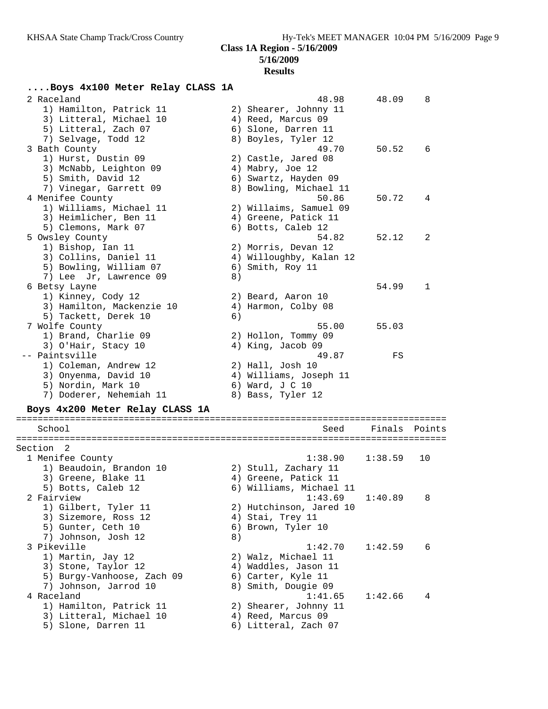## **5/16/2009 Results**

| Boys 4x100 Meter Relay CLASS 1A |    |                         |         |        |
|---------------------------------|----|-------------------------|---------|--------|
| 2 Raceland                      |    | 48.98                   | 48.09   | 8      |
| 1) Hamilton, Patrick 11         |    | 2) Shearer, Johnny 11   |         |        |
| 3) Litteral, Michael 10         |    | 4) Reed, Marcus 09      |         |        |
| 5) Litteral, Zach 07            |    | 6) Slone, Darren 11     |         |        |
| 7) Selvage, Todd 12             |    | 8) Boyles, Tyler 12     |         |        |
| 3 Bath County                   |    | 49.70                   | 50.52   | 6      |
| 1) Hurst, Dustin 09             |    | 2) Castle, Jared 08     |         |        |
| 3) McNabb, Leighton 09          |    | 4) Mabry, Joe 12        |         |        |
| 5) Smith, David 12              |    | 6) Swartz, Hayden 09    |         |        |
| 7) Vinegar, Garrett 09          |    | 8) Bowling, Michael 11  |         |        |
| 4 Menifee County                |    | 50.86                   | 50.72   | 4      |
| 1) Williams, Michael 11         |    | 2) Willaims, Samuel 09  |         |        |
| 3) Heimlicher, Ben 11           |    | 4) Greene, Patick 11    |         |        |
| 5) Clemons, Mark 07             |    | 6) Botts, Caleb 12      |         |        |
| 5 Owsley County                 |    | 54.82                   | 52.12   | 2      |
| 1) Bishop, Ian 11               |    | 2) Morris, Devan 12     |         |        |
| 3) Collins, Daniel 11           |    | 4) Willoughby, Kalan 12 |         |        |
| 5) Bowling, William 07          |    | 6) Smith, Roy 11        |         |        |
| 7) Lee Jr, Lawrence 09          | 8) |                         |         |        |
| 6 Betsy Layne                   |    |                         | 54.99   | 1      |
| 1) Kinney, Cody 12              |    | 2) Beard, Aaron 10      |         |        |
| 3) Hamilton, Mackenzie 10       |    | 4) Harmon, Colby 08     |         |        |
| 5) Tackett, Derek 10            | 6) |                         |         |        |
| 7 Wolfe County                  |    | 55.00                   | 55.03   |        |
| 1) Brand, Charlie 09            |    | 2) Hollon, Tommy 09     |         |        |
| 3) O'Hair, Stacy 10             |    | 4) King, Jacob 09       |         |        |
| -- Paintsville                  |    | 49.87                   | FS      |        |
| 1) Coleman, Andrew 12           |    | 2) Hall, Josh 10        |         |        |
| 3) Onyenma, David 10            |    | 4) Williams, Joseph 11  |         |        |
| 5) Nordin, Mark 10              |    | 6) Ward, J C 10         |         |        |
| 7) Doderer, Nehemiah 11         |    | 8) Bass, Tyler 12       |         |        |
| Boys 4x200 Meter Relay CLASS 1A |    |                         |         |        |
|                                 |    |                         |         |        |
| School                          |    | Seed                    | Finals  | Points |
|                                 |    |                         |         |        |
| Section <sub>2</sub>            |    |                         |         |        |
| 1 Menifee County                |    | 1:38.90                 | 1:38.59 | 10     |
| 1) Beaudoin, Brandon 10         |    | 2) Stull, Zachary 11    |         |        |
| 3) Greene, Blake 11             |    | 4) Greene, Patick 11    |         |        |
| 5) Botts, Caleb 12              |    | 6) Williams, Michael 11 |         |        |
| 2 Fairview                      |    | 1:43.69                 | 1:40.89 | 8      |
| 1) Gilbert, Tyler 11            |    | 2) Hutchinson, Jared 10 |         |        |
| 3) Sizemore, Ross 12            |    | 4) Stai, Trey 11        |         |        |
| 5) Gunter, Ceth 10              |    | 6) Brown, Tyler 10      |         |        |
| 7) Johnson, Josh 12             | 8) |                         |         |        |
| 3 Pikeville                     |    | 1:42.70                 | 1:42.59 | 6      |
| 1) Martin, Jay 12               |    | 2) Walz, Michael 11     |         |        |
| 3) Stone, Taylor 12             |    | 4) Waddles, Jason 11    |         |        |
| 5) Burgy-Vanhoose, Zach 09      |    | 6) Carter, Kyle 11      |         |        |
| 7) Johnson, Jarrod 10           |    | 8) Smith, Dougie 09     |         |        |
| 4 Raceland                      |    | 1:41.65                 | 1:42.66 | 4      |
| 1) Hamilton, Patrick 11         |    | 2) Shearer, Johnny 11   |         |        |
| 3) Litteral, Michael 10         |    | 4) Reed, Marcus 09      |         |        |
| 5) Slone, Darren 11             |    | 6) Litteral, Zach 07    |         |        |
|                                 |    |                         |         |        |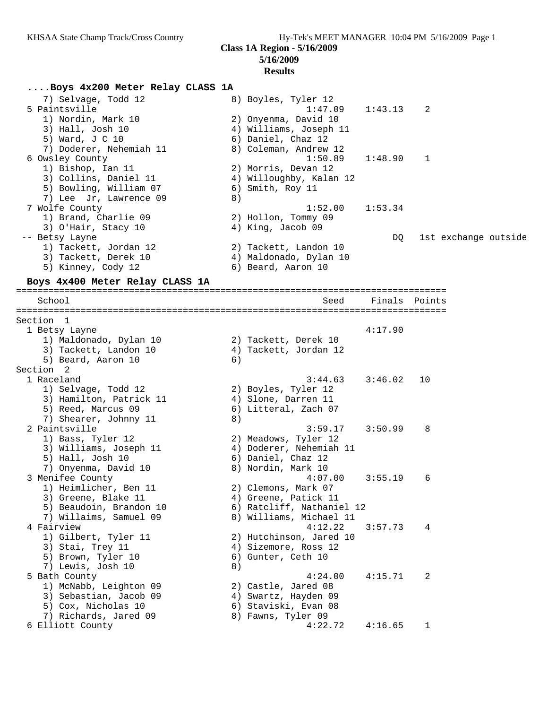### **5/16/2009 Results**

#### **....Boys 4x200 Meter Relay CLASS 1A**

| 7) Selvage, Todd 12     |    | 8) Boyles, Tyler 12     |         |                      |
|-------------------------|----|-------------------------|---------|----------------------|
| 5 Paintsville           |    | $1:47.09$ $1:43.13$ 2   |         |                      |
| 1) Nordin, Mark 10      |    | 2) Onyenma, David 10    |         |                      |
| 3) Hall, Josh 10        |    | 4) Williams, Joseph 11  |         |                      |
| 5) Ward, J C 10         |    | 6) Daniel, Chaz 12      |         |                      |
| 7) Doderer, Nehemiah 11 |    | 8) Coleman, Andrew 12   |         |                      |
| 6 Owsley County         |    | 1:50.89                 | 1:48.90 | $\mathbf{1}$         |
| 1) Bishop, Ian 11       |    | 2) Morris, Devan 12     |         |                      |
| 3) Collins, Daniel 11   |    | 4) Willoughby, Kalan 12 |         |                      |
| 5) Bowling, William 07  |    | 6) Smith, Roy 11        |         |                      |
| 7) Lee Jr, Lawrence 09  | 8) |                         |         |                      |
| 7 Wolfe County          |    | 1:52.00                 | 1:53.34 |                      |
| 1) Brand, Charlie 09    |    | 2) Hollon, Tommy 09     |         |                      |
| 3) O'Hair, Stacy 10     |    | 4) King, Jacob 09       |         |                      |
| -- Betsy Layne          |    |                         | DQ      | 1st exchange outside |
| 1) Tackett, Jordan 12   |    | 2) Tackett, Landon 10   |         |                      |
| 3) Tackett, Derek 10    |    | 4) Maldonado, Dylan 10  |         |                      |
| 5) Kinney, Cody 12      |    | 6) Beard, Aaron 10      |         |                      |
|                         |    |                         |         |                      |

#### **Boys 4x400 Meter Relay CLASS 1A**

================================================================================ School School Seed Finals Points ================================================================================ Section 1<br>1 Betsy Layne 1 Betsy Layne 4:17.90 1) Maldonado, Dylan 10 2) Tackett, Derek 10 3) Tackett, Landon 10 4) Tackett, Jordan 12 5) Beard, Aaron 10 (6) Section 2 1 Raceland 3:44.63 3:46.02 10 1) Selvage, Todd 12 2) Boyles, Tyler 12 3) Hamilton, Patrick 11 (4) Slone, Darren 11 5) Reed, Marcus 09 6) Litteral, Zach 07 7) Shearer, Johnny 11 8) 2 Paintsville 3:59.17 3:50.99 8 1) Bass, Tyler 12 2) Meadows, Tyler 12 3) Williams, Joseph 11 4) Doderer, Nehemiah 11 5) Hall, Josh 10 6) Daniel, Chaz 12 7) Onyenma, David 10 8) Nordin, Mark 10 3 Menifee County 4:07.00 3:55.19 6 1) Heimlicher, Ben 11 and 2) Clemons, Mark 07 3) Greene, Blake 11 (4) Greene, Patick 11 5) Beaudoin, Brandon 10 6) Ratcliff, Nathaniel 12 7) Willaims, Samuel 09 8) Williams, Michael 11 4 Fairview 4:12.22 3:57.73 4 1) Gilbert, Tyler 11 2) Hutchinson, Jared 10 3) Stai, Trey 11 (4) Sizemore, Ross 12 5) Brown, Tyler 10 6) Gunter, Ceth 10 7) Lewis, Josh 10 8) 5 Bath County 4:24.00 4:15.71 2 1) McNabb, Leighton 09 2) Castle, Jared 08 3) Sebastian, Jacob 09 (4) Swartz, Hayden 09 5) Cox, Nicholas 10 6) Staviski, Evan 08 7) Richards, Jared 09 8) Fawns, Tyler 09 6 Elliott County 4:22.72 4:16.65 1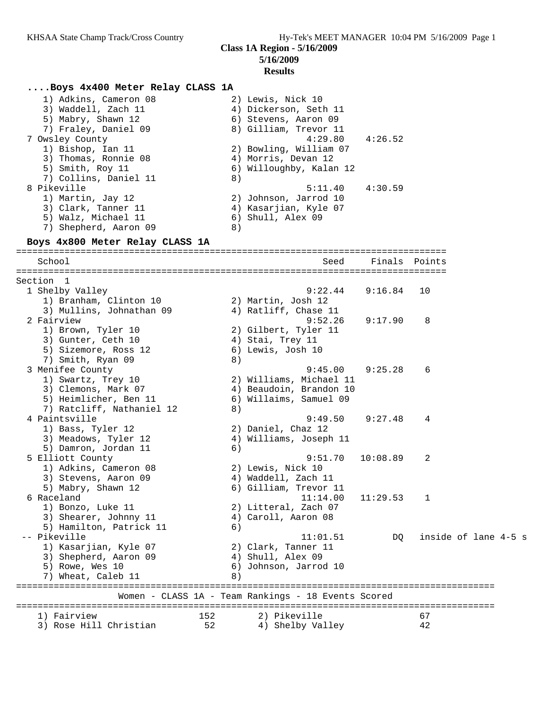#### **....Boys 4x400 Meter Relay CLASS 1A**

| 1) Adkins, Cameron 08 | 2) Lewis, Nick 10       |
|-----------------------|-------------------------|
| 3) Waddell, Zach 11   | 4) Dickerson, Seth 11   |
| 5) Mabry, Shawn 12    | 6) Stevens, Aaron 09    |
| 7) Fraley, Daniel 09  | 8) Gilliam, Trevor 11   |
| 7 Owsley County       | $4:29.80$ $4:26.52$     |
| 1) Bishop, Ian 11     | 2) Bowling, William 07  |
| 3) Thomas, Ronnie 08  | 4) Morris, Devan 12     |
| 5) Smith, Roy 11      | 6) Willoughby, Kalan 12 |
| 7) Collins, Daniel 11 | 8)                      |
| 8 Pikeville           | 4:30.59<br>5:11.40      |
| 1) Martin, Jay 12     | 2) Johnson, Jarrod 10   |
| 3) Clark, Tanner 11   | 4) Kasarjian, Kyle 07   |
| 5) Walz, Michael 11   | 6) Shull, Alex 09       |

7) Shepherd, Aaron 09 8)

## **Boys 4x800 Meter Relay CLASS 1A**

================================================================================ School Seed Finals Points ================================================================================ Section 1 1 Shelby Valley 9:22.44 9:16.84 10 1) Branham, Clinton 10 2) Martin, Josh 12 3) Mullins, Johnathan 09 (4) Ratliff, Chase 11 2 Fairview 9:52.26 9:17.90 8 1) Brown, Tyler 10 2) Gilbert, Tyler 11 3) Gunter, Ceth 10 (4) Stai, Trey 11 5) Sizemore, Ross 12 (6) Lewis, Josh 10 7) Smith, Ryan 09 8) 3 Menifee County 9:45.00 9:25.28 6 1) Swartz, Trey 10 2) Williams, Michael 11 3) Clemons, Mark 07 4) Beaudoin, Brandon 10 5) Heimlicher, Ben 11 6) Willaims, Samuel 09 7) Ratcliff, Nathaniel 12 (8) 4 Paintsville 9:49.50 9:27.48 4 1) Bass, Tyler 12 2) Daniel, Chaz 12 3) Meadows, Tyler 12 4) Williams, Joseph 11 5) Damron, Jordan 11 (6) 5 Elliott County 9:51.70 10:08.89 2 1) Adkins, Cameron 08 2) Lewis, Nick 10 3) Stevens, Aaron 09 (4) Waddell, Zach 11 5) Mabry, Shawn 12 6) Gilliam, Trevor 11 6 Raceland 11:14.00 11:29.53 1 1) Bonzo, Luke 11 2) Litteral, Zach 07 3) Shearer, Johnny 11  $\hskip10mm 4)$  Caroll, Aaron 08 5) Hamilton, Patrick 11 (6) -- Pikeville 11:01.51 DQ inside of lane 4-5 s 1) Kasarjian, Kyle 07 2) Clark, Tanner 11 3) Shepherd, Aaron 09 4) Shull, Alex 09 5) Rowe, Wes 10 6) Johnson, Jarrod 10 7) Wheat, Caleb 11 8) ========================================================================================= Women - CLASS 1A - Team Rankings - 18 Events Scored ========================================================================================= 1) Fairview 152 2) Pikeville 67 3) Rose Hill Christian 52 4) Shelby Valley 42